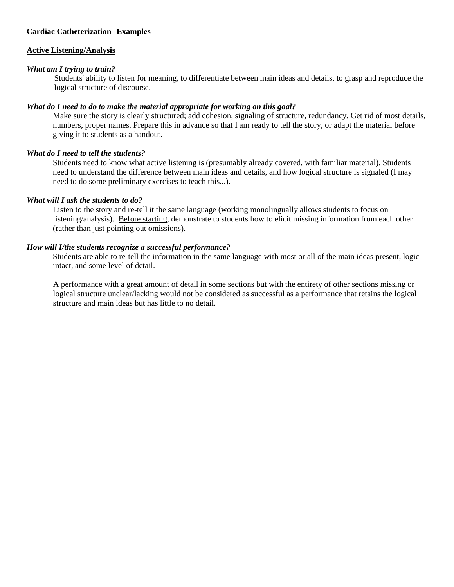## **Cardiac Catheterization--Examples**

#### **Active Listening/Analysis**

#### *What am I trying to train?*

Students' ability to listen for meaning, to differentiate between main ideas and details, to grasp and reproduce the logical structure of discourse.

### *What do I need to do to make the material appropriate for working on this goal?*

Make sure the story is clearly structured; add cohesion, signaling of structure, redundancy. Get rid of most details, numbers, proper names. Prepare this in advance so that I am ready to tell the story, or adapt the material before giving it to students as a handout.

### *What do I need to tell the students?*

Students need to know what active listening is (presumably already covered, with familiar material). Students need to understand the difference between main ideas and details, and how logical structure is signaled (I may need to do some preliminary exercises to teach this...).

### *What will I ask the students to do?*

Listen to the story and re-tell it the same language (working monolingually allows students to focus on listening/analysis). Before starting, demonstrate to students how to elicit missing information from each other (rather than just pointing out omissions).

### *How will I/the students recognize a successful performance?*

Students are able to re-tell the information in the same language with most or all of the main ideas present, logic intact, and some level of detail.

A performance with a great amount of detail in some sections but with the entirety of other sections missing or logical structure unclear/lacking would not be considered as successful as a performance that retains the logical structure and main ideas but has little to no detail.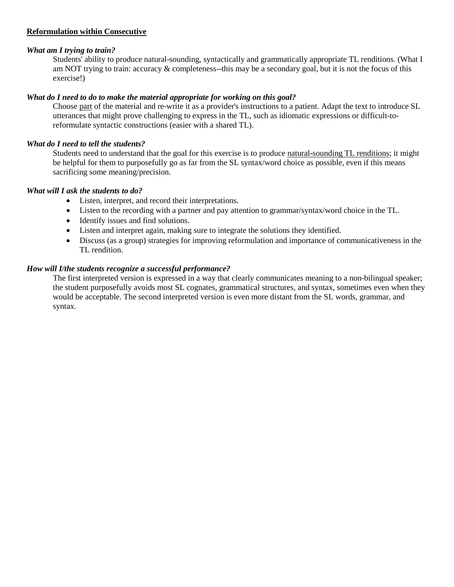# **Reformulation within Consecutive**

# *What am I trying to train?*

Students' ability to produce natural-sounding, syntactically and grammatically appropriate TL renditions. (What I am NOT trying to train: accuracy & completeness--this may be a secondary goal, but it is not the focus of this exercise!)

# *What do I need to do to make the material appropriate for working on this goal?*

Choose part of the material and re-write it as a provider's instructions to a patient. Adapt the text to introduce SL utterances that might prove challenging to express in the TL, such as idiomatic expressions or difficult-toreformulate syntactic constructions (easier with a shared TL).

# *What do I need to tell the students?*

Students need to understand that the goal for this exercise is to produce natural-sounding TL renditions; it might be helpful for them to purposefully go as far from the SL syntax/word choice as possible, even if this means sacrificing some meaning/precision.

# *What will I ask the students to do?*

- Listen, interpret, and record their interpretations.
- Listen to the recording with a partner and pay attention to grammar/syntax/word choice in the TL.
- Identify issues and find solutions.
- Listen and interpret again, making sure to integrate the solutions they identified.
- Discuss (as a group) strategies for improving reformulation and importance of communicativeness in the TL rendition.

# *How will I/the students recognize a successful performance?*

The first interpreted version is expressed in a way that clearly communicates meaning to a non-bilingual speaker; the student purposefully avoids most SL cognates, grammatical structures, and syntax, sometimes even when they would be acceptable. The second interpreted version is even more distant from the SL words, grammar, and syntax.